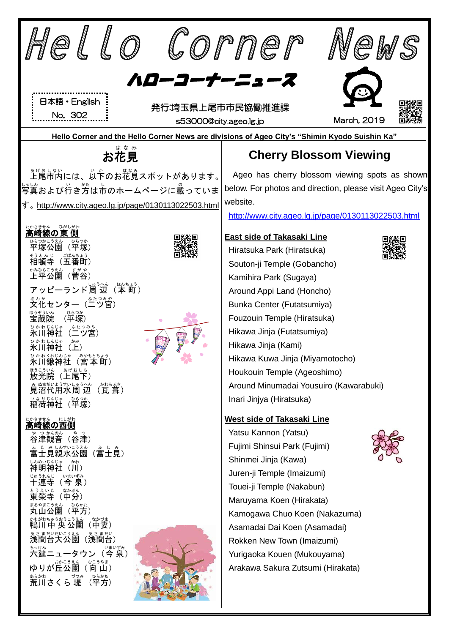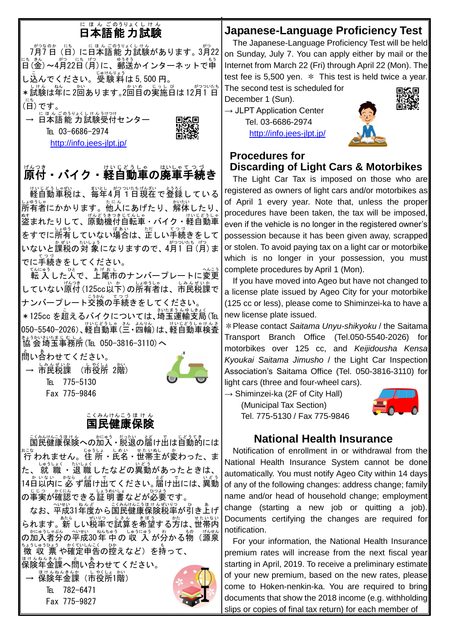# にほんごのうりょくし けん<br>**日本語能力試験**

– \*♡\* ® 、 にもんごのうりょくしけん<br>7月7日(日)に日本語能 力試験があります。3月22 にも。。<br>日 (金) 〜4月22日 (月) に、郵送かインターネットで申 し込んでください。 <sup>じゅけんりょう</sup> は 5,500 円。 \*試験は年に2回あります。2回目の実施日は12月1日 (日 にち )です。

→ E<u>ほんごのうりょくしけんうけ</u>っけ<br>→ 日本語能 力試験受付センター TEL 03-6686-2974 <http://info.jees-jlpt.jp/>



# - -<br>原付・バイク・軽自動車の廃車手続き

軽自動 けいじどう 車税 しゃぜい は、毎年 まいとし 4月 がつ 1日 ついたち 現在 げんざい で登録 とうろく している 」。<br>所有者にかかります。他人にあげたり、解体したり、│ 。。<br>盗まれたりして、原動機付自転車・バイク・軽自動車 をすでに所宥していない<sup>場合は、だ</sup>しい手続きをして いないと課税の対 象になりますので、4月1日(月)ま でに手続 てつづ きをしてください。

てんにゅう<br>転 入 した人で、上尾市のナンバープレートに変更 していない<sup>協?き</sup> (125cc以下)の所有者は、市民税課で <sub>ナンバープレート交換の手続きをしてください。</sub> \*125cc を超えるバイクについては、埼玉運輸支局(℡

050−5540−2026)、軽自動車(兰・四輪)は、軽自動車検査 <sub>まぅかいむたまじむし</sub>。<br>協会埼玉事務所(℡ 050−3816−3110)へ

。<br>問い合わせてください。 → 市民税課 (市役所 2階) TEL 775-5130 Fax 775-9846



### 国民 健康 保険 こくみん けんこう ほ け ん

ご<del>かけに</del>まけんへの加入・脱退の届け出は自動的には ぉこ<del>。</del><br>行 われません。住 所・氏名・世帯主が変わった、ま た、 就 職 ・退 職 したなどの異動があったときは、<br>た、 就 職 ・退 職 したなどの異動があったときは、 14日 か 以内 いない に 必 かなら ず届 とど け出 で てください。届 とど け出 で には、異動 いどう 。<sub>じじつ、がにん</sub><br>の事実が確認できる証 明 書*などが*必要です。

なお、平成31年度から国民健康保険税率が引き上げ されます。新 しい税率で試算を希望する方は、世帯内 の加入者分の平成30年 中の 収 入 が分かる物(源泉 <u>ょょうしゅう。 がくひしんこく</u> ぬ<br>微 収 票 や確定申告の控えなど)を持って、 <sub>ほけんねんきん。</sub><br>保険年金課へ問い合わせてください。

→ 保険年金課(市役所1階) TEI 782-6471 Fax 775-9827



## **Japanese-Language Proficiency Test**

 The Japanese-Language Proficiency Test will be held on Sunday, July 7. You can apply either by mail or the Internet from March 22 (Fri) through April 22 (Mon). The test fee is 5,500 yen.  $*$  This test is held twice a year.

The second test is scheduled for December 1 (Sun).

 $\rightarrow$  JLPT Application Center Tel. 03-6686-2974 http://info.jees-ilpt.jp/



### **Procedures for Discarding of Light Cars & Motorbikes**

The Light Car Tax is imposed on those who are registered as owners of light cars and/or motorbikes as of April 1 every year. Note that, unless the proper procedures have been taken, the tax will be imposed, even if the vehicle is no longer in the registered owner's possession because it has been given away, scrapped or stolen. To avoid paying tax on a light car or motorbike which is no longer in your possession, you must complete procedures by April 1 (Mon).

If you have moved into Ageo but have not changed to a license plate issued by Ageo City for your motorbike (125 cc or less), please come to Shiminzei-ka to have a new license plate issued.

\*Please contact *Saitama Unyu-shikyoku* / the Saitama Transport Branch Office (Tel.050-5540-2026) for motorbikes over 125 cc, and *Keijidousha Kensa Kyoukai Saitama Jimusho* / the Light Car Inspection Association's Saitama Office (Tel. 050-3816-3110) for light cars (three and four-wheel cars).

 $\rightarrow$  Shiminzei-ka (2F of City Hall)

(Municipal Tax Section) Tel. 775-5130 / Fax 775-9846



### **National Health Insurance**

Notification of enrollment in or withdrawal from the National Health Insurance System cannot be done automatically. You must notify Ageo City within 14 days of any of the following changes: address change; family name and/or head of household change; employment change (starting a new job or quitting a job). Documents certifying the changes are required for notification.

For your information, the National Health Insurance premium rates will increase from the next fiscal year starting in April, 2019. To receive a preliminary estimate of your new premium, based on the new rates, please come to Hoken-nenkin-ka. You are required to bring documents that show the 2018 income (e.g. withholding slips or copies of final tax return) for each member of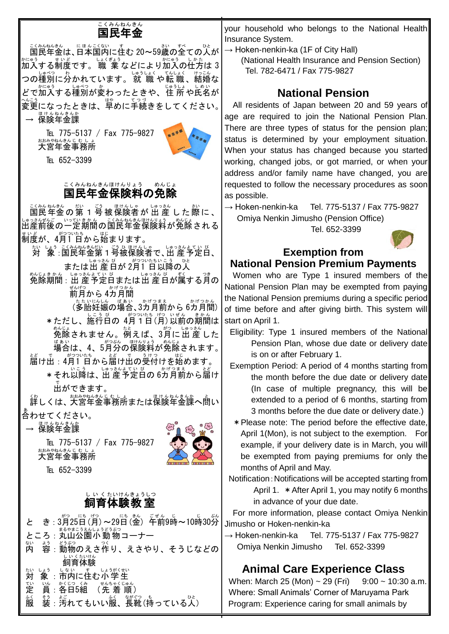# <u>こくみんねんきん</u><br>国民年金

- <u>くみねんきん</u><br>国民年金は、日本国内に住む 20~59歳の全ての人が 加入 かにゅう する制度 せいど です。 職 業 しょくぎょう などにより加入 かにゅう の仕方 しかた は 3 つの種別に分かれています。 就 職 や転 職 、結婚な どで加入する種別が変わったときや、住 所 や氏名が ◇<u>。</u><br>変更になったときは、早めに手続きをしてください。│ → 保険年金課

TEL 775-5137 / Fax 775-9827 おみやねをもじむしょ<br>大宮年金事務所



TEL 652-3399

#### 国民年金保険料の免除 こくみん ねんきん ほけんりょう めんじょ

ご数数の第1号被保険者が出産した際に、 いっぴゃん。こが松を彫り。<br>出産前後の一定期間の国民年金保険料が免除される 制度 せいど が、4月 がつ 1 日 ついたち から始 はじ まります。 対 たい 象 しょう :国民 こくみん 年金 ねんきん 第 だい 1号 ごう 被 ひ 保険者 ほけんしゃ で、出 産 しゅっさん 予定 よてい 日 び 、 または出産自が2月1日以降の人 免除 めんじょ 期間 きかん :出 産 しゅっさん 予定 よてい 日 び または出 産 しゅっさん 日 び が属 ぞく する月 つき の <sub>ぜんげつ</sub><br>前月から 4カ月間 (多胎妊娠の場合、3カ月前から 6カ月間) \*ただし、施行日の 4月1日(月)以前の期間は 免除 めんじょ されません。例 たと えば、3月 がつ に 出 産 しゅっさん した <sub>ばぁぃ</sub><br>場合は、4、5月分の保険料が免除されます。 届 とど け出 で :4月 がつ 1 日 ついたち から届 とど け出 で の受付 うけつ けを始 はじ めます。 \*それ以降は、出 産予定日の 6カ月前から届け 出 で ができます。 <u>くわしくは、大宮年金事務所または保険年金課へ問い</u> 合 あ わせてください。 — <sup>ほけんねんきんか</sup><br>→ 保険年金課 TEL 775-5137 / Fax 775-9827 おおやねんきんじょしょ<br>大宮年金事務所 TEL 652-3399 飼育 体験 教 室 し い く たいけん きょうしつ と き: 3月25日(月)~29日(金) 午前9時~10時30分 ところ:丸山公園小 動 物コーナー 内 ない ょ。<br>容 : 動物のえさ作り、えさやり、そうじなどの しぃくたいけん<br>飼育体験 対 たい しょぅ、しょぃ、す。しょぅがくせい<br>「**象 :市内に住む小学生** 定 てい 員 いん 。<br>**※各日5組**: (先着順) 。〈<br>服 <sub>も。。</sub><br>装 : 汚れてもいい服、長靴(持っている人)

your household who belongs to the National Health Insurance System.

- → Hoken-nenkin-ka (1F of City Hall)
	- (National Health Insurance and Pension Section) Tel. 782-6471 / Fax 775-9827

## **National Pension**

All residents of Japan between 20 and 59 years of age are required to join the National Pension Plan. There are three types of status for the pension plan; status is determined by your employment situation. When your status has changed because you started working, changed jobs, or got married, or when your address and/or family name have changed, you are requested to follow the necessary procedures as soon as possible.

 $\rightarrow$  Hoken-nenkin-ka Tel. 775-5137 / Fax 775-9827 Omiya Nenkin Jimusho (Pension Office)

Tel. 652-3399



### **Exemption from National Pension Premium Payments**

Women who are Type 1 insured members of the National Pension Plan may be exempted from paying the National Pension premiums during a specific period of time before and after giving birth. This system will start on April 1.

- Eligibility: Type 1 insured members of the National Pension Plan, whose due date or delivery date is on or after February 1.
- Exemption Period: A period of 4 months starting from the month before the due date or delivery date (In case of multiple pregnancy, this will be extended to a period of 6 months, starting from 3 months before the due date or delivery date.)
- \*Please note: The period before the effective date, April 1(Mon), is not subject to the exemption. For example, if your delivery date is in March, you will be exempted from paying premiums for only the months of April and May.

Notification: Notifications will be accepted starting from April 1. \*After April 1, you may notify 6 months in advance of your due date.

For more information, please contact Omiya Nenkin Jimusho or Hoken-nenkin-ka

 $\rightarrow$  Hoken-nenkin-ka Tel. 775-5137 / Fax 775-9827 Omiya Nenkin Jimusho Tel. 652-3399

### **Animal Care Experience Class**

When: March 25 (Mon) ~ 29 (Fri)  $9:00 \sim 10:30$  a.m. Where: Small Animals' Corner of Maruyama Park Program: Experience caring for small animals by